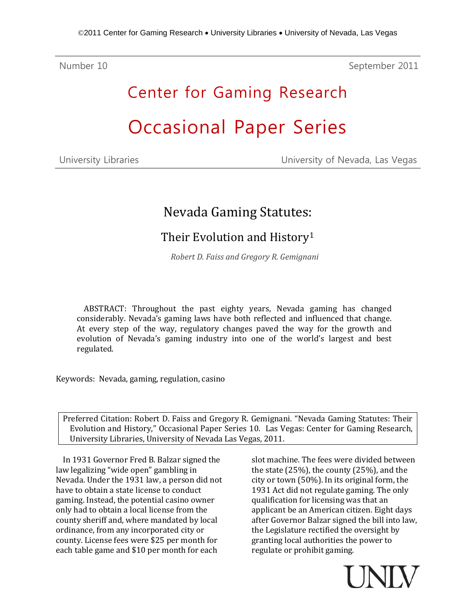Number 10 September 2011

# Center for Gaming Research Occasional Paper Series

| University Libraries |  |
|----------------------|--|
|----------------------|--|

University of Nevada, Las Vegas

## Nevada Gaming Statutes:

### Their Evolution and History[1](#page-7-0)

*Robert D. Faiss and Gregory R. Gemignani*

ABSTRACT: Throughout the past eighty years, Nevada gaming has changed considerably. Nevada's gaming laws have both reflected and influenced that change. At every step of the way, regulatory changes paved the way for the growth and evolution of Nevada's gaming industry into one of the world's largest and best regulated.

Keywords: Nevada, gaming, regulation, casino

Preferred Citation: Robert D. Faiss and Gregory R. Gemignani. "Nevada Gaming Statutes: Their Evolution and History," Occasional Paper Series 10. Las Vegas: Center for Gaming Research, University Libraries, University of Nevada Las Vegas, 2011.

In 1931 Governor Fred B. Balzar signed the law legalizing "wide open" gambling in Nevada. Under the 1931 law, a person did not have to obtain a state license to conduct gaming. Instead, the potential casino owner only had to obtain a local license from the county sheriff and, where mandated by local ordinance, from any incorporated city or county. License fees were \$25 per month for each table game and \$10 per month for each

slot machine. The fees were divided between the state (25%), the county (25%), and the city or town (50%). In its original form, the 1931 Act did not regulate gaming. The only qualification for licensing was that an applicant be an American citizen. Eight days after Governor Balzar signed the bill into law, the Legislature rectified the oversight by granting local authorities the power to regulate or prohibit gaming.

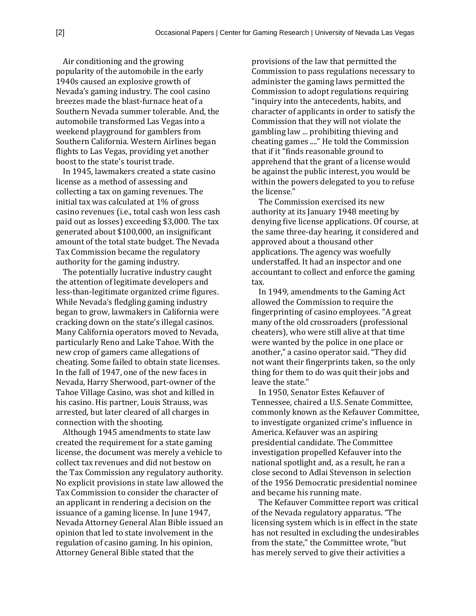Air conditioning and the growing popularity of the automobile in the early 1940s caused an explosive growth of Nevada's gaming industry. The cool casino breezes made the blast-furnace heat of a Southern Nevada summer tolerable. And, the automobile transformed Las Vegas into a weekend playground for gamblers from Southern California. Western Airlines began flights to Las Vegas, providing yet another boost to the state's tourist trade.

In 1945, lawmakers created a state casino license as a method of assessing and collecting a tax on gaming revenues. The initial tax was calculated at 1% of gross casino revenues (i.e., total cash won less cash paid out as losses) exceeding \$3,000. The tax generated about \$100,000, an insignificant amount of the total state budget. The Nevada Tax Commission became the regulatory authority for the gaming industry.

The potentially lucrative industry caught the attention of legitimate developers and less-than-legitimate organized crime figures. While Nevada's fledgling gaming industry began to grow, lawmakers in California were cracking down on the state's illegal casinos. Many California operators moved to Nevada, particularly Reno and Lake Tahoe. With the new crop of gamers came allegations of cheating. Some failed to obtain state licenses. In the fall of 1947, one of the new faces in Nevada, Harry Sherwood, part-owner of the Tahoe Village Casino, was shot and killed in his casino. His partner, Louis Strauss, was arrested, but later cleared of all charges in connection with the shooting.

Although 1945 amendments to state law created the requirement for a state gaming license, the document was merely a vehicle to collect tax revenues and did not bestow on the Tax Commission any regulatory authority. No explicit provisions in state law allowed the Tax Commission to consider the character of an applicant in rendering a decision on the issuance of a gaming license. In June 1947, Nevada Attorney General Alan Bible issued an opinion that led to state involvement in the regulation of casino gaming. In his opinion, Attorney General Bible stated that the

provisions of the law that permitted the Commission to pass regulations necessary to administer the gaming laws permitted the Commission to adopt regulations requiring "inquiry into the antecedents, habits, and character of applicants in order to satisfy the Commission that they will not violate the gambling law ... prohibiting thieving and cheating games ...." He told the Commission that if it "finds reasonable ground to apprehend that the grant of a license would be against the public interest, you would be within the powers delegated to you to refuse the license."

The Commission exercised its new authority at its January 1948 meeting by denying five license applications. Of course, at the same three-day hearing, it considered and approved about a thousand other applications. The agency was woefully understaffed. It had an inspector and one accountant to collect and enforce the gaming tax.

In 1949, amendments to the Gaming Act allowed the Commission to require the fingerprinting of casino employees. "A great many of the old crossroaders (professional cheaters), who were still alive at that time were wanted by the police in one place or another," a casino operator said. "They did not want their fingerprints taken, so the only thing for them to do was quit their jobs and leave the state."

In 1950, Senator Estes Kefauver of Tennessee, chaired a U.S. Senate Committee, commonly known as the Kefauver Committee, to investigate organized crime's influence in America. Kefauver was an aspiring presidential candidate. The Committee investigation propelled Kefauver into the national spotlight and, as a result, he ran a close second to Adlai Stevenson in selection of the 1956 Democratic presidential nominee and became his running mate.

The Kefauver Committee report was critical of the Nevada regulatory apparatus. "The licensing system which is in effect in the state has not resulted in excluding the undesirables from the state," the Committee wrote, "but has merely served to give their activities a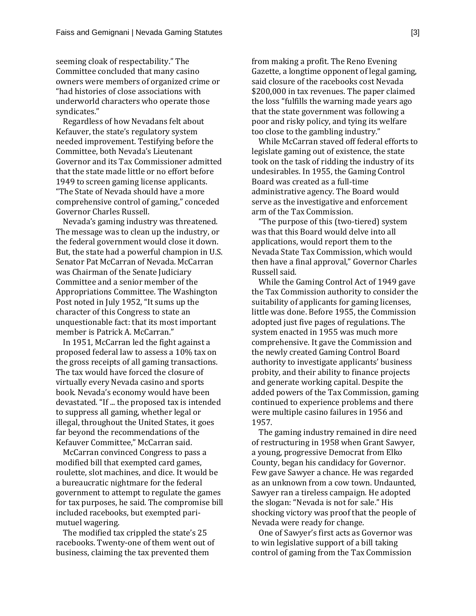seeming cloak of respectability." The Committee concluded that many casino owners were members of organized crime or "had histories of close associations with underworld characters who operate those syndicates."

Regardless of how Nevadans felt about Kefauver, the state's regulatory system needed improvement. Testifying before the Committee, both Nevada's Lieutenant Governor and its Tax Commissioner admitted that the state made little or no effort before 1949 to screen gaming license applicants. "The State of Nevada should have a more comprehensive control of gaming," conceded Governor Charles Russell.

Nevada's gaming industry was threatened. The message was to clean up the industry, or the federal government would close it down. But, the state had a powerful champion in U.S. Senator Pat McCarran of Nevada. McCarran was Chairman of the Senate Judiciary Committee and a senior member of the Appropriations Committee. The Washington Post noted in July 1952, "It sums up the character of this Congress to state an unquestionable fact: that its most important member is Patrick A. McCarran."

In 1951, McCarran led the fight against a proposed federal law to assess a 10% tax on the gross receipts of all gaming transactions. The tax would have forced the closure of virtually every Nevada casino and sports book. Nevada's economy would have been devastated. "If ... the proposed tax is intended to suppress all gaming, whether legal or illegal, throughout the United States, it goes far beyond the recommendations of the Kefauver Committee," McCarran said.

McCarran convinced Congress to pass a modified bill that exempted card games, roulette, slot machines, and dice. It would be a bureaucratic nightmare for the federal government to attempt to regulate the games for tax purposes, he said. The compromise bill included racebooks, but exempted parimutuel wagering.

The modified tax crippled the state's 25 racebooks. Twenty-one of them went out of business, claiming the tax prevented them

from making a profit. The Reno Evening Gazette, a longtime opponent of legal gaming, said closure of the racebooks cost Nevada \$200,000 in tax revenues. The paper claimed the loss "fulfills the warning made years ago that the state government was following a poor and risky policy, and tying its welfare too close to the gambling industry."

While McCarran staved off federal efforts to legislate gaming out of existence, the state took on the task of ridding the industry of its undesirables. In 1955, the Gaming Control Board was created as a full-time administrative agency. The Board would serve as the investigative and enforcement arm of the Tax Commission.

"The purpose of this (two-tiered) system was that this Board would delve into all applications, would report them to the Nevada State Tax Commission, which would then have a final approval," Governor Charles Russell said.

While the Gaming Control Act of 1949 gave the Tax Commission authority to consider the suitability of applicants for gaming licenses, little was done. Before 1955, the Commission adopted just five pages of regulations. The system enacted in 1955 was much more comprehensive. It gave the Commission and the newly created Gaming Control Board authority to investigate applicants' business probity, and their ability to finance projects and generate working capital. Despite the added powers of the Tax Commission, gaming continued to experience problems and there were multiple casino failures in 1956 and 1957.

The gaming industry remained in dire need of restructuring in 1958 when Grant Sawyer, a young, progressive Democrat from Elko County, began his candidacy for Governor. Few gave Sawyer a chance. He was regarded as an unknown from a cow town. Undaunted, Sawyer ran a tireless campaign. He adopted the slogan: "Nevada is not for sale." His shocking victory was proof that the people of Nevada were ready for change.

One of Sawyer's first acts as Governor was to win legislative support of a bill taking control of gaming from the Tax Commission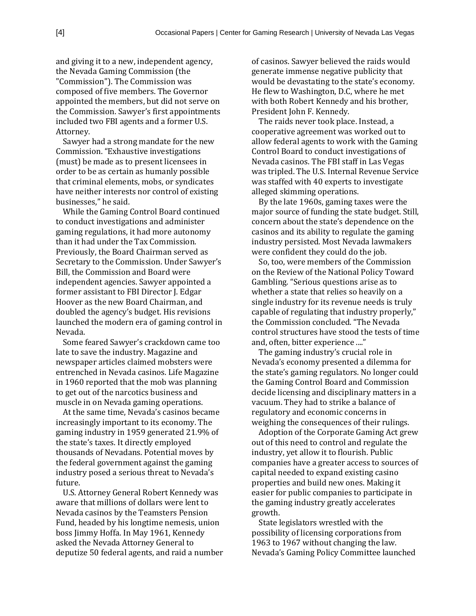and giving it to a new, independent agency, the Nevada Gaming Commission (the "Commission"). The Commission was composed of five members. The Governor appointed the members, but did not serve on the Commission. Sawyer's first appointments included two FBI agents and a former U.S. Attorney.

Sawyer had a strong mandate for the new Commission. "Exhaustive investigations (must) be made as to present licensees in order to be as certain as humanly possible that criminal elements, mobs, or syndicates have neither interests nor control of existing businesses," he said.

While the Gaming Control Board continued to conduct investigations and administer gaming regulations, it had more autonomy than it had under the Tax Commission. Previously, the Board Chairman served as Secretary to the Commission. Under Sawyer's Bill, the Commission and Board were independent agencies. Sawyer appointed a former assistant to FBI Director J. Edgar Hoover as the new Board Chairman, and doubled the agency's budget. His revisions launched the modern era of gaming control in Nevada.

Some feared Sawyer's crackdown came too late to save the industry. Magazine and newspaper articles claimed mobsters were entrenched in Nevada casinos. Life Magazine in 1960 reported that the mob was planning to get out of the narcotics business and muscle in on Nevada gaming operations.

At the same time, Nevada's casinos became increasingly important to its economy. The gaming industry in 1959 generated 21.9% of the state's taxes. It directly employed thousands of Nevadans. Potential moves by the federal government against the gaming industry posed a serious threat to Nevada's future.

U.S. Attorney General Robert Kennedy was aware that millions of dollars were lent to Nevada casinos by the Teamsters Pension Fund, headed by his longtime nemesis, union boss Jimmy Hoffa. In May 1961, Kennedy asked the Nevada Attorney General to deputize 50 federal agents, and raid a number of casinos. Sawyer believed the raids would generate immense negative publicity that would be devastating to the state's economy. He flew to Washington, D.C, where he met with both Robert Kennedy and his brother, President John F. Kennedy.

The raids never took place. Instead, a cooperative agreement was worked out to allow federal agents to work with the Gaming Control Board to conduct investigations of Nevada casinos. The FBI staff in Las Vegas was tripled. The U.S. Internal Revenue Service was staffed with 40 experts to investigate alleged skimming operations.

By the late 1960s, gaming taxes were the major source of funding the state budget. Still, concern about the state's dependence on the casinos and its ability to regulate the gaming industry persisted. Most Nevada lawmakers were confident they could do the job.

So, too, were members of the Commission on the Review of the National Policy Toward Gambling. "Serious questions arise as to whether a state that relies so heavily on a single industry for its revenue needs is truly capable of regulating that industry properly," the Commission concluded. "The Nevada control structures have stood the tests of time and, often, bitter experience ...."

The gaming industry's crucial role in Nevada's economy presented a dilemma for the state's gaming regulators. No longer could the Gaming Control Board and Commission decide licensing and disciplinary matters in a vacuum. They had to strike a balance of regulatory and economic concerns in weighing the consequences of their rulings.

Adoption of the Corporate Gaming Act grew out of this need to control and regulate the industry, yet allow it to flourish. Public companies have a greater access to sources of capital needed to expand existing casino properties and build new ones. Making it easier for public companies to participate in the gaming industry greatly accelerates growth.

State legislators wrestled with the possibility of licensing corporations from 1963 to 1967 without changing the law. Nevada's Gaming Policy Committee launched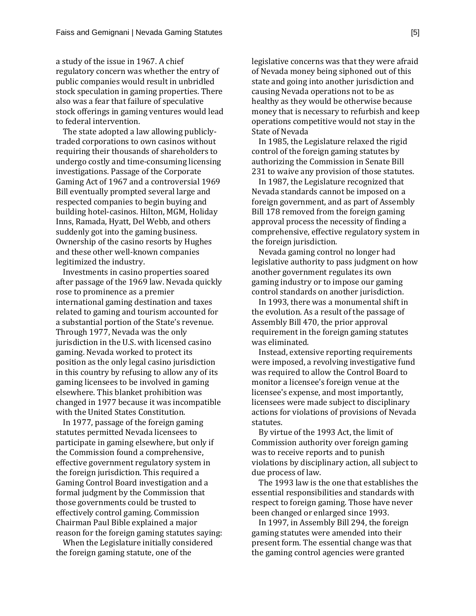a study of the issue in 1967. A chief regulatory concern was whether the entry of public companies would result in unbridled stock speculation in gaming properties. There also was a fear that failure of speculative stock offerings in gaming ventures would lead to federal intervention.

The state adopted a law allowing publiclytraded corporations to own casinos without requiring their thousands of shareholders to undergo costly and time-consuming licensing investigations. Passage of the Corporate Gaming Act of 1967 and a controversial 1969 Bill eventually prompted several large and respected companies to begin buying and building hotel-casinos. Hilton, MGM, Holiday Inns, Ramada, Hyatt, Del Webb, and others suddenly got into the gaming business. Ownership of the casino resorts by Hughes and these other well-known companies legitimized the industry.

Investments in casino properties soared after passage of the 1969 law. Nevada quickly rose to prominence as a premier international gaming destination and taxes related to gaming and tourism accounted for a substantial portion of the State's revenue. Through 1977, Nevada was the only jurisdiction in the U.S. with licensed casino gaming. Nevada worked to protect its position as the only legal casino jurisdiction in this country by refusing to allow any of its gaming licensees to be involved in gaming elsewhere. This blanket prohibition was changed in 1977 because it was incompatible with the United States Constitution.

In 1977, passage of the foreign gaming statutes permitted Nevada licensees to participate in gaming elsewhere, but only if the Commission found a comprehensive, effective government regulatory system in the foreign jurisdiction. This required a Gaming Control Board investigation and a formal judgment by the Commission that those governments could be trusted to effectively control gaming. Commission Chairman Paul Bible explained a major reason for the foreign gaming statutes saying:

When the Legislature initially considered the foreign gaming statute, one of the

legislative concerns was that they were afraid of Nevada money being siphoned out of this state and going into another jurisdiction and causing Nevada operations not to be as healthy as they would be otherwise because money that is necessary to refurbish and keep operations competitive would not stay in the State of Nevada

In 1985, the Legislature relaxed the rigid control of the foreign gaming statutes by authorizing the Commission in Senate Bill 231 to waive any provision of those statutes.

In 1987, the Legislature recognized that Nevada standards cannot be imposed on a foreign government, and as part of Assembly Bill 178 removed from the foreign gaming approval process the necessity of finding a comprehensive, effective regulatory system in the foreign jurisdiction.

Nevada gaming control no longer had legislative authority to pass judgment on how another government regulates its own gaming industry or to impose our gaming control standards on another jurisdiction.

In 1993, there was a monumental shift in the evolution. As a result of the passage of Assembly Bill 470, the prior approval requirement in the foreign gaming statutes was eliminated.

Instead, extensive reporting requirements were imposed, a revolving investigative fund was required to allow the Control Board to monitor a licensee's foreign venue at the licensee's expense, and most importantly, licensees were made subject to disciplinary actions for violations of provisions of Nevada statutes.

By virtue of the 1993 Act, the limit of Commission authority over foreign gaming was to receive reports and to punish violations by disciplinary action, all subject to due process of law.

The 1993 law is the one that establishes the essential responsibilities and standards with respect to foreign gaming. Those have never been changed or enlarged since 1993.

In 1997, in Assembly Bill 294, the foreign gaming statutes were amended into their present form. The essential change was that the gaming control agencies were granted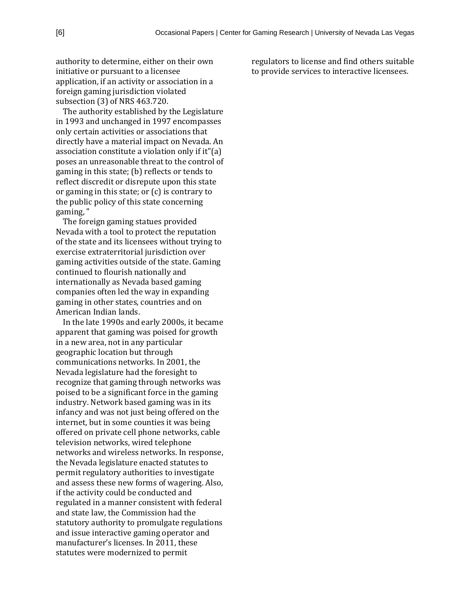authority to determine, either on their own initiative or pursuant to a licensee application, if an activity or association in a foreign gaming jurisdiction violated subsection (3) of NRS 463.720.

The authority established by the Legislature in 1993 and unchanged in 1997 encompasses only certain activities or associations that directly have a material impact on Nevada. An association constitute a violation only if it"(a) poses an unreasonable threat to the control of gaming in this state; (b) reflects or tends to reflect discredit or disrepute upon this state or gaming in this state; or (c) is contrary to the public policy of this state concerning gaming, "

The foreign gaming statues provided Nevada with a tool to protect the reputation of the state and its licensees without trying to exercise extraterritorial jurisdiction over gaming activities outside of the state. Gaming continued to flourish nationally and internationally as Nevada based gaming companies often led the way in expanding gaming in other states, countries and on American Indian lands.

In the late 1990s and early 2000s, it became apparent that gaming was poised for growth in a new area, not in any particular geographic location but through communications networks. In 2001, the Nevada legislature had the foresight to recognize that gaming through networks was poised to be a significant force in the gaming industry. Network based gaming was in its infancy and was not just being offered on the internet, but in some counties it was being offered on private cell phone networks, cable television networks, wired telephone networks and wireless networks. In response, the Nevada legislature enacted statutes to permit regulatory authorities to investigate and assess these new forms of wagering. Also, if the activity could be conducted and regulated in a manner consistent with federal and state law, the Commission had the statutory authority to promulgate regulations and issue interactive gaming operator and manufacturer's licenses. In 2011, these statutes were modernized to permit

regulators to license and find others suitable to provide services to interactive licensees.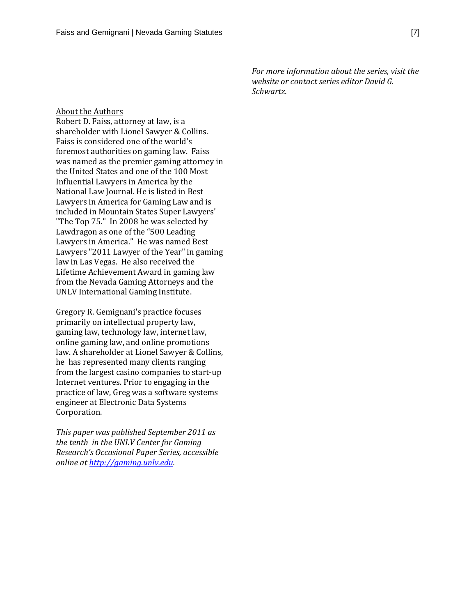*For more information about the series, visit the website or contact series editor David G. Schwartz.*

#### About the Authors

Robert D. Faiss, attorney at law, is a shareholder with Lionel Sawyer & Collins. Faiss is considered one of the world's foremost authorities on gaming law. Faiss was named as the premier gaming attorney in the United States and one of the 100 Most Influential Lawyers in America by the National Law Journal. He is listed in Best Lawyers in America for Gaming Law and is included in Mountain States Super Lawyers' "The Top 75." In 2008 he was selected by Lawdragon as one of the "500 Leading Lawyers in America." He was named Best Lawyers "2011 Lawyer of the Year" in gaming law in Las Vegas. He also received the Lifetime Achievement Award in gaming law from the Nevada Gaming Attorneys and the UNLV International Gaming Institute.

Gregory R. Gemignani's practice focuses primarily on intellectual property law, gaming law, technology law, internet law, online gaming law, and online promotions law. A shareholder at Lionel Sawyer & Collins, he has represented many clients ranging from the largest casino companies to start-up Internet ventures. Prior to engaging in the practice of law, Greg was a software systems engineer at Electronic Data Systems Corporation.

*This paper was published September 2011 as the tenth in the UNLV Center for Gaming Research's Occasional Paper Series, accessible online a[t http://gaming.unlv.edu.](http://gaming.unlv.edu/)*